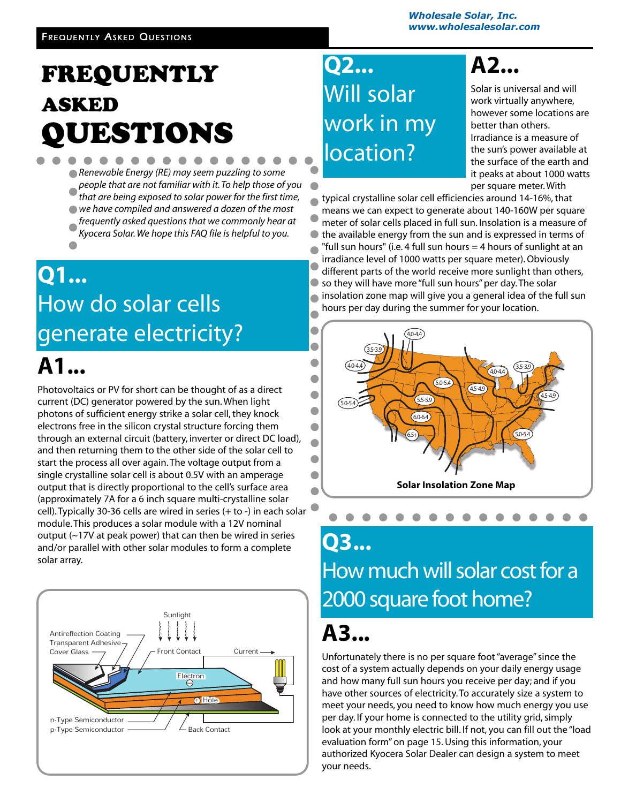## FREQUENTLY ASKED QUESTIONS

- *Renewable Energy (RE) may seem puzzling to some people that are not familiar with it. To help those of you*
- *that are being exposed to solar power for the first time,*
- *we have compiled and answered a dozen of the most frequently asked questions that we commonly hear at*
- *Kyocera Solar. We hope this FAQ file is helpful to you.*

### **Q1...** How do solar cells generate electricity? **A1...**

Photovoltaics or PV for short can be thought of as a direct current (DC) generator powered by the sun. When light photons of sufficient energy strike a solar cell, they knock electrons free in the silicon crystal structure forcing them through an external circuit (battery, inverter or direct DC load), and then returning them to the other side of the solar cell to start the process all over again. The voltage output from a single crystalline solar cell is about 0.5V with an amperage output that is directly proportional to the cell's surface area (approximately 7A for a 6 inch square multi-crystalline solar cell). Typically 30-36 cells are wired in series (+ to -) in each solar module. This produces a solar module with a 12V nominal output (~17V at peak power) that can then be wired in series and/or parallel with other solar modules to form a complete solar array. Flectron<br>
Electron<br>
Electron<br>
Contact<br>
The Video Contact Current<br>
Contact<br>
Current<br>
Contact<br>
Contact<br>
Contact<br>
Contact<br>
Contact<br>
Contact<br>
Contact<br>
Contact<br>
Contact<br>
Contact<br>
Contact<br>
Contact<br>
Contact<br>
Contact<br>
Contact<br>
Con



### **Q2...** Will solar work in my location?

## **A2...**

Solar is universal and will work virtually anywhere, however some locations are better than others. Irradiance is a measure of the sun's power available at the surface of the earth and it peaks at about 1000 watts per square meter. With

 $\bullet$ 

typical crystalline solar cell efficiencies around 14-16%, that means we can expect to generate about 140-160W per square meter of solar cells placed in full sun. Insolation is a measure of the available energy from the sun and is expressed in terms of  $\bullet$ "full sun hours" (i.e. 4 full sun hours  $=$  4 hours of sunlight at an irradiance level of 1000 watts per square meter). Obviously different parts of the world receive more sunlight than others, so they will have more "full sun hours" per day. The solar insolation zone map will give you a general idea of the full sun  $\bullet$ hours per day during the summer for your location.  $\bullet$ 



### **Q3...** How much will solar cost for a 2000 square foot home?

### **A3...**

Unfortunately there is no per square foot "average" since the cost of a system actually depends on your daily energy usage and how many full sun hours you receive per day; and if you have other sources of electricity. To accurately size a system to meet your needs, you need to know how much energy you use per day. If your home is connected to the utility grid, simply look at your monthly electric bill. If not, you can fill out the "load evaluation form"on page 15. Using this information, your authorized Kyocera Solar Dealer can design a system to meet your needs.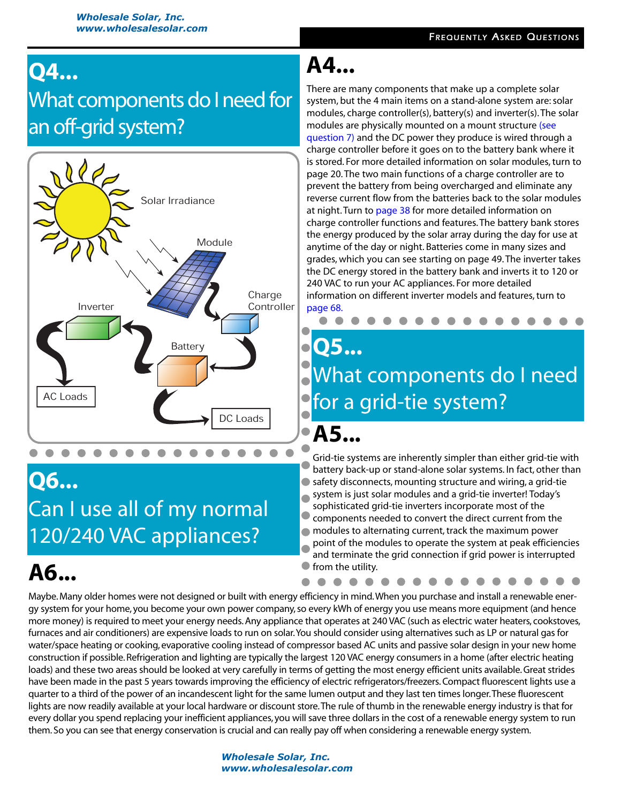### **Q4...** What components do I need for an off-grid system?



#### **Q6...**

Can I use all of my normal 120/240 VAC appliances?

### **A6...**

#### **A4...**

There are many components that make up a complete solar system, but the 4 main items on a stand-alone system are: solar modules, charge controller(s), battery(s) and inverter(s).The solar modules are physically mounted on a mount structure (see [question 7\)](#page-2-0) and the DC power they produce is wired through a charge controller before it goes on to the battery bank where it is stored. For more detailed information on solar modules, turn to page 20.The two main functions of a charge controller are to prevent the battery from being overcharged and eliminate any reverse current flow from the batteries back to the solar modules at night. Turn to page 38 for more detailed information on charge controller functions and features.The battery bank stores the energy produced by the solar array during the day for use at anytime of the day or night. Batteries come in many sizes and grades, which you can see starting on page 49.The inverter takes the DC energy stored in the battery bank and inverts it to 120 or 240 VAC to run your AC appliances. For more detailed information on different inverter models and features, turn to page 68.

## **Q5...** What components do I need for a grid-tie system?

**A5...**

Grid-tie systems are inherently simpler than either grid-tie with battery back-up or stand-alone solar systems. In fact, other than ● safety disconnects, mounting structure and wiring, a grid-tie system is just solar modules and a grid-tie inverter! Today's sophisticated grid-tie inverters incorporate most of the  $\bullet$ components needed to convert the direct current from the modules to alternating current, track the maximum power point of the modules to operate the system at peak efficiencies and terminate the grid connection if grid power is interrupted from the utility.

Maybe. Many older homes were not designed or built with energy efficiency in mind.When you purchase and install a renewable energy system for your home, you become your own power company, so every kWh of energy you use means more equipment (and hence more money) is required to meet your energy needs. Any appliance that operates at 240 VAC (such as electric water heaters, cookstoves, furnaces and air conditioners) are expensive loads to run on solar.You should consider using alternatives such as LP or natural gas for water/space heating or cooking, evaporative cooling instead of compressor based AC units and passive solar design in your new home construction if possible. Refrigeration and lighting are typically the largest 120 VAC energy consumers in a home (after electric heating loads) and these two areas should be looked at very carefully in terms of getting the most energy efficient units available. Great strides have been made in the past 5 years towards improving the efficiency of electric refrigerators/freezers. Compact fluorescent lights use a quarter to a third of the power of an incandescent light for the same lumen output and they last ten times longer.These fluorescent lights are now readily available at your local hardware or discount store.The rule of thumb in the renewable energy industry is that for every dollar you spend replacing your inefficient appliances, you will save three dollars in the cost of a renewable energy system to run them. So you can see that energy conservation is crucial and can really pay off when considering a renewable energy system.

> *Wholesale Solar, Inc. [www.wholesalesolar.com](http://www.wholesalesolar.com/)*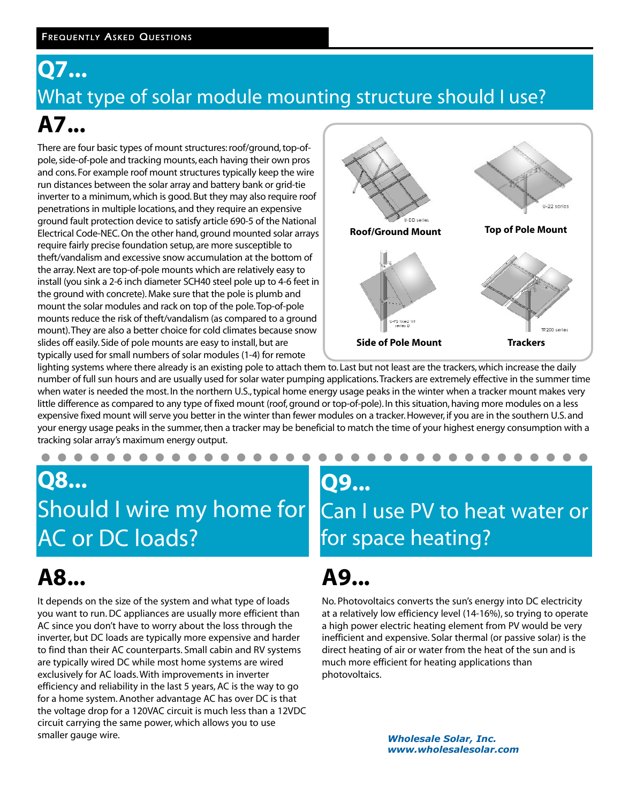#### <span id="page-2-0"></span>**Q7...** What type of solar module mounting structure should I use? **A7...**

There are four basic types of mount structures: roof/ground, top-ofpole, side-of-pole and tracking mounts, each having their own pros and cons. For example roof mount structures typically keep the wire run distances between the solar array and battery bank or grid-tie inverter to a minimum, which is good. But they may also require roof penetrations in multiple locations, and they require an expensive ground fault protection device to satisfy article 690-5 of the National Electrical Code-NEC. On the other hand, ground mounted solar arrays require fairly precise foundation setup, are more susceptible to theft/vandalism and excessive snow accumulation at the bottom of the array. Next are top-of-pole mounts which are relatively easy to install (you sink a 2-6 inch diameter SCH40 steel pole up to 4-6 feet in the ground with concrete). Make sure that the pole is plumb and mount the solar modules and rack on top of the pole.Top-of-pole mounts reduce the risk of theft/vandalism (as compared to a ground mount).They are also a better choice for cold climates because snow slides off easily. Side of pole mounts are easy to install, but are typically used for small numbers of solar modules (1-4) for remote



lighting systems where there already is an existing pole to attach them to. Last but not least are the trackers, which increase the daily number of full sun hours and are usually used for solar water pumping applications.Trackers are extremely effective in the summer time when water is needed the most. In the northern U.S., typical home energy usage peaks in the winter when a tracker mount makes very little difference as compared to any type of fixed mount (roof, ground or top-of-pole). In this situation, having more modules on a less expensive fixed mount will serve you better in the winter than fewer modules on a tracker. However, if you are in the southern U.S. and your energy usage peaks in the summer, then a tracker may be beneficial to match the time of your highest energy consumption with a tracking solar array's maximum energy output.

### **Q8...** Should I wire my home for AC or DC loads?

. . . . . . . . . . .

# **A8...**

It depends on the size of the system and what type of loads you want to run. DC appliances are usually more efficient than AC since you don't have to worry about the loss through the inverter, but DC loads are typically more expensive and harder to find than their AC counterparts. Small cabin and RV systems are typically wired DC while most home systems are wired exclusively for AC loads. With improvements in inverter efficiency and reliability in the last 5 years, AC is the way to go for a home system. Another advantage AC has over DC is that the voltage drop for a 120VAC circuit is much less than a 12VDC circuit carrying the same power, which allows you to use smaller gauge wire.

#### **Q9...** Can I use PV to heat water or for space heating?

### **A9...**

No. Photovoltaics converts the sun's energy into DC electricity at a relatively low efficiency level (14-16%), so trying to operate a high power electric heating element from PV would be very inefficient and expensive. Solar thermal (or passive solar) is the direct heating of air or water from the heat of the sun and is much more efficient for heating applications than photovoltaics.

> *Wholesale Solar, Inc. [www.wholesalesolar.com](http://www.wholesalesolar.com/)*